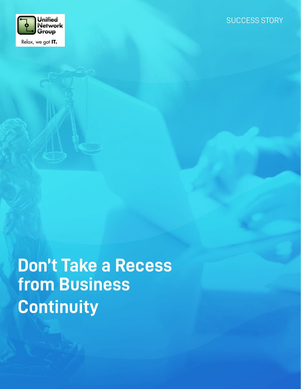

**Don't Take a Recess from Business Continuity**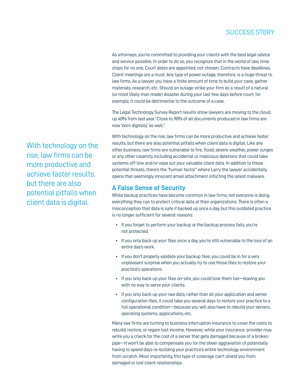## SUCCESS STORY

As attorneys, you're committed to providing your clients with the best legal advice and service possible. In order to do so, you recognize that in the world of law, time stops for no one. Court dates are appointed, not chosen. Contracts have deadlines. Client meetings are a must. Any type of power outage, therefore, is a huge threat to law firms. As a lawyer you have a finite amount of time to build your case, gather materials, research, etc. Should an outage strike your firm as a result of a natural (or most likely man made) disaster during your last few days before court, for example, it could be detrimental to the outcome of a case.

The Legal Technology Survey Report results show lawyers are moving to the cloud, up 40% from last year.<sup>1</sup> Close to 90% of all documents produced in law firms are now 'born digitally' as well.<sup>2</sup>

With technology on the rise, law firms can be more productive and achieve faster results, but there are also potential pitfalls when client data is digital. Like any other business, law firms are vulnerable to fire, flood, severe weather, power surges or any other calamity including accidental or malicious deletions that could take systems off-line and/or wipe out your valuable client data. In addition to these potential threats, there's the "human factor" where Larry the lawyer accidentally opens that seemingly innocent email attachment inflicting the latest malware.

#### **A False Sense of Security**

While backup practices have become common in law firms, not everyone is doing everything they can to protect critical data at their organizations. There is often a misconception that data is safe if backed up once a day, but this outdated practice is no longer sufficient for several reasons:

- If you forget to perform your backup or the backup process fails, you're not protected.
- If you only back up your files once a day, you're still vulnerable to the loss of an entire day's work.
- If you don't properly validate your backup files, you could be in for a very unpleasant surprise when you actually try to use those files to restore your practice's operations.
- If you only back up your files on-site, you could lose them too—leaving you with no way to serve your clients.
- If you only back up your raw data, rather than all your application and server configuration files, it could take you several days to restore your practice to a full operational condition—because you will also have to rebuild your servers, operating systems, applications, etc.

Many law firms are turning to business interruption insurance to cover the costs to rebuild, restore, or regain lost income. However, while your insurance provider may write you a check for the cost of a server that gets damaged because of a broken pipe—it won't be able to compensate you for the sheer aggravation of potentially having to spend days re-building your practice's entire technology environment from scratch. Most importantly, this type of coverage can't shield you from damaged or lost client relationships.

With technology on the rise, law firms can be more productive and achieve faster results, but there are also potential pitfalls when client data is digital.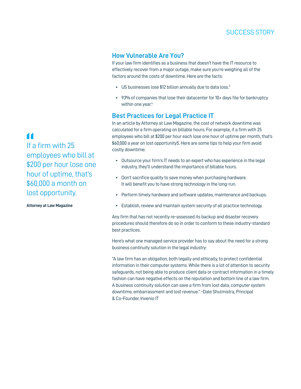# SUCCESS STORY

## **How Vulnerable Are You?**

If your law firm identifies as a business that doesn't have the IT resource to effectively recover from a major outage, make sure you're weighing all of the factors around the costs of downtime. Here are the facts:

- US businesses lose \$12 billion annually due to data loss.<sup>3</sup>
- 93% of companies that lose their datacenter for 10+ days file for bankruptcy within one year.<sup>4</sup>

#### **Best Practices for Legal Practice IT**

In an article by Attorney at Law Magazine, the cost of network downtime was calculated for a firm operating on billable hours. For example, if a firm with 25 employees who bill at \$200 per hour each lose one hour of uptime per month, that's \$60,000 a year on lost opportunity5. Here are some tips to help your firm avoid costly downtime:

- Outsource your firm's IT needs to an expert who has experience in the legal industry, they'll understand the importance of billable hours.
- Don't sacrifice quality to save money when purchasing hardware. It will benefit you to have strong technology in the long-run.
- Perform timely hardware and software updates, maintenance and backups.
- Establish, review and maintain system security of all practice technology.

Any firm that has not recently re-assessed its backup and disaster recovery procedures should therefore do so in order to conform to these industry-standard best practices.

Here's what one managed service provider has to say about the need for a strong business continuity solution in the legal industry:

"A law firm has an obligation, both legally and ethically, to protect confidential information in their computer systems. While there is a lot of attention to security safeguards, not being able to produce client data or contract information in a timely fashion can have negative effects on the reputation and bottom line of a law firm. A business continuity solution can save a firm from lost data, computer system downtime, embarrassment and lost revenue." -Dale Shulmistra, Principal & Co-Founder, Invenio IT

**"** If a firm with 25 employees who bill at \$200 per hour lose one hour of uptime, that's \$60,000 a month on lost opportunity.

**Attorney at Law Magazine**